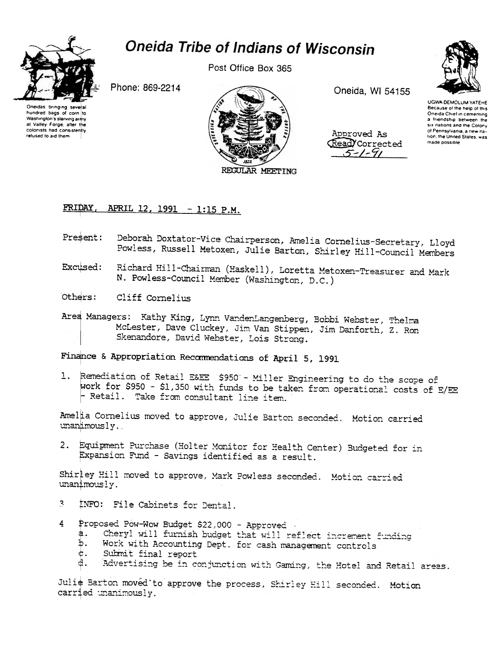

## **Oneida Tribe of Indians of Wisconsin**

Post Office Box 365

Phone: 869-2214

Oneidas bringing several hundred bags of corn to Washington's starving army at Valley Forge, after the colonists had consistently refused to aid them



Oneida, WI 54155

Approved As Read Corrected  $5 - 1 - 91$ 



**UGWA DEMOLUM YATEHE** Because of the help of this Oneida Chief in cementing a friendship between the six nations and the Colony of Pennsylvania, a new nation, the United States, was made possible

## APRIL 12, 1991 - 1:15 P.M. FRIDAY.

- Deborah Doxtator-Vice Chairperson, Amelia Cornelius-Secretary, Lloyd Present: Powless, Russell Metoxen, Julie Barton, Shirley Hill-Council Members
- Richard Hill-Chairman (Haskell), Loretta Metoxen-Treasurer and Mark Excused: N. Powless-Council Member (Washington, D.C.)
- Others: Cliff Cornelius
- Area Managers: Kathy King, Lynn VandenLangenberg, Bobbi Webster, Thelma McLester, Dave Cluckey, Jim Van Stippen, Jim Danforth, Z. Ron Skenandore, David Webster, Lois Strong.

Finance & Appropriation Recommendations of April 5, 1991

1. Remediation of Retail E&EE \$950 - Miller Engineering to do the scope of work for \$950 - \$1,350 with funds to be taken from operational costs of E/EE  $\vdash$  Retail. Take from consultant line item.

Amelia Cornelius moved to approve, Julie Barton seconded. Motion carried unanimously.

2. Equipment Purchase (Holter Monitor for Health Center) Budgeted for in Expansion Fund - Savings identified as a result.

Shirley Hill moved to approve, Mark Powless seconded. Motion carried unanimously.

- $\mathbf{z}$ INFO: File Cabinets for Dental.
- 4 Proposed Pow-Wow Budget \$22,000 - Approved
	- Cheryl will furnish budget that will reflect increment funding ₿.
	- Work with Accounting Dept. for cash management controls Ъ.
	- ¢. Submit final report
	- Advertising be in conjunction with Gaming, the Hotel and Retail areas.

Julie Barton moved to approve the process, Shirley Hill seconded. Motion carried unanimously.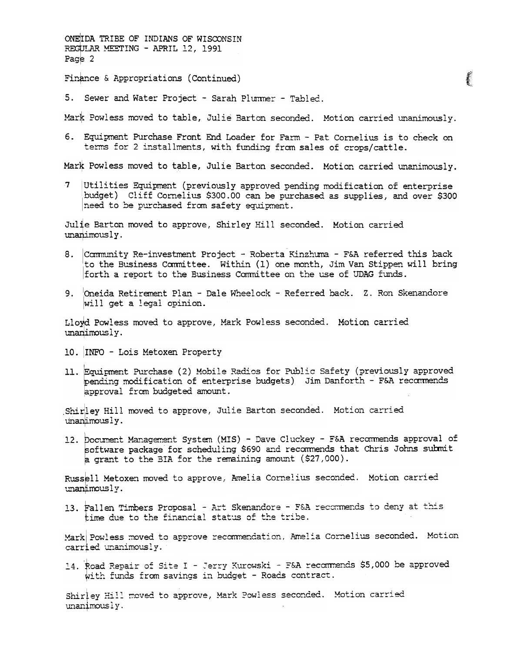ONEIDA TRIBE OF INDIANS OF WISCONSIN REGULAR MEETING - APRIL 12, 1991 Page 2 Finance & Appropriations (Continued)

5. Sewer and Water Project - Sarah Plummer - Tabled.

Mark Powless moved to table, Julie Barton seconded. Motion carried unanimously.

6. Equipment Purchase Front End Loader for Farm - Pat Cornelius is to check on terms for 2 installments, with funding from sales of crops/cattle.

Mark Powless moved to table, Julie Barton seconded. Motion carried unanimously.

7 Utilities Equipment (previously approved pending modification of enterprise budget) Cliff Cornelius \$300.00 can be purchased as supplies, and over \$300 need to be purchased from safety equipment.

Julie Barton moved to approve, Shirley Hill seconded. Motion carried unanimously.

- 8. Community Re-investment Project Roberta Kinzhuma F&A referred this back to the Business Committee. Within (1) one month, Jim Van Stippen will bring forth a report to the Business Committee on the use of UDAG funds.
- 9. Oneida Retirement Plan Dale Wheelock Referred back. Z. Ron Skenandore will get a legal opinion.

Lloyd Powless moved to approve, Mark Powless seconded. Motion carried unanimously.

- 10. INFO Lois Metoxen Property
- 11. Equipment Purchase (2) Mobile Radios for Public Safety (previously approved pending modification of enterprise budgets) Jim Danforth - F&A recommends approval from budgeted amount.

Shirley Hill moved to approve, Julie Barton seconded. Motion carried unanimously.

12. Document Management System (MIS) - Dave Cluckey - F&A recommends approval of software package for scheduling \$690 and recommends that Chris Johns submit a grant to the BIA for the remaining amount (\$27,000).

Russell Metoxen moved to approve, Amelia Cornelius seconded. Motion carried unanimously.

13. Fallen Timbers Proposal - Art Skenandore - F&A recommends to deny at this time due to the financial status of the tribe.

Mark Powless moved to approve recommendation, Amelia Cornelius seconded. Motion carried unanimously.

14. Road Repair of Site I - Jerry Kurowski - F&A recommends \$5,000 be approved with funds from savings in budget - Roads contract.

Shirley Hill moved to approve, Mark Powless seconded. Motion carried unanimously.